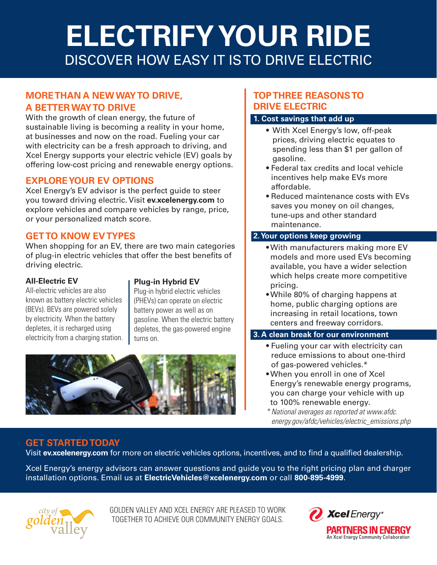# **ELECTRIFY YOUR RIDE** DISCOVER HOW EASY IT IS TO DRIVE ELECTRIC

# **MORE THAN A NEW WAY TO DRIVE, A BETTER WAY TO DRIVE**

With the growth of clean energy, the future of sustainable living is becoming a reality in your home, at businesses and now on the road. Fueling your car with electricity can be a fresh approach to driving, and Xcel Energy supports your electric vehicle (EV) goals by offering low-cost pricing and renewable energy options.

## **EXPLORE YOUR EV OPTIONS**

Xcel Energy's EV advisor is the perfect guide to steer you toward driving electric. Visit **ev.xcelenergy.com** to explore vehicles and compare vehicles by range, price, or your personalized match score.

# **GET TO KNOW EV TYPES**

When shopping for an EV, there are two main categories of plug-in electric vehicles that offer the best benefits of driving electric.

## **All-Electric EV**

All-electric vehicles are also known as battery electric vehicles (BEVs). BEVs are powered solely by electricity. When the battery depletes, it is recharged using electricity from a charging station.

## **Plug-in Hybrid EV**

Plug-in hybrid electric vehicles (PHEVs) can operate on electric battery power as well as on gasoline. When the electric battery depletes, the gas-powered engine turns on.



# **TOP THREE REASONS TO DRIVE ELECTRIC**

## **1. Cost savings that add up**

- With Xcel Energy's low, off-peak prices, driving electric equates to spending less than \$1 per gallon of gasoline.
- Federal tax credits and local vehicle incentives help make EVs more affordable.
- Reduced maintenance costs with EVs saves you money on oil changes, tune-ups and other standard maintenance.

## **2. Your options keep growing**

- With manufacturers making more EV models and more used EVs becoming available, you have a wider selection which helps create more competitive pricing.
- While 80% of charging happens at home, public charging options are increasing in retail locations, town centers and freeway corridors.

### **3. A clean break for our environment**

- Fueling your car with electricity can reduce emissions to about one-third of gas-powered vehicles.\*
- When you enroll in one of Xcel Energy's renewable energy programs, you can charge your vehicle with up to 100% renewable energy.
- *\* National averages as reported at www.afdc. energy.gov/afdc/vehicles/electric\_emissions.php*

# **GET STARTED TODAY**

Visit **ev.xcelenergy.com** for more on electric vehicles options, incentives, and to find a qualified dealership.

Xcel Energy's energy advisors can answer questions and guide you to the right pricing plan and charger installation options. Email us at **ElectricVehicles@xcelenergy.com** or call **800-895-4999**.



GOLDEN VALLEY AND XCEL ENERGY ARE PLEASED TO WORK TOGETHER TO ACHIEVE OUR COMMUNITY ENERGY GOALS.